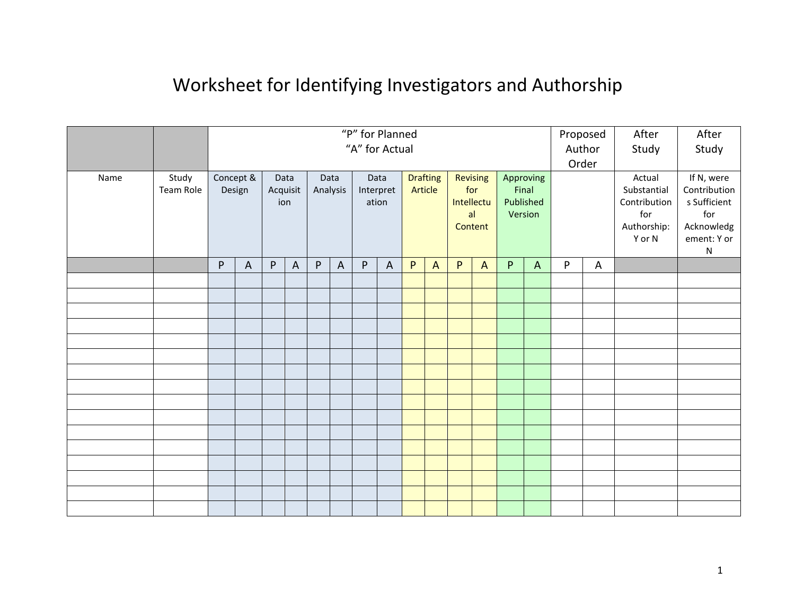## Worksheet for Identifying Investigators and Authorship

|      |                    |                     |                |                         |                |                  |                | "P" for Planned<br>"A" for Actual |              |                            |                |                                                |                |                                            |              | Proposed<br>Author |   | After<br>Study                                                        | After<br>Study                                                                              |
|------|--------------------|---------------------|----------------|-------------------------|----------------|------------------|----------------|-----------------------------------|--------------|----------------------------|----------------|------------------------------------------------|----------------|--------------------------------------------|--------------|--------------------|---|-----------------------------------------------------------------------|---------------------------------------------------------------------------------------------|
| Name | Study<br>Team Role | Concept &<br>Design |                | Data<br>Acquisit<br>ion |                | Data<br>Analysis |                | Data<br>Interpret<br>ation        |              | <b>Drafting</b><br>Article |                | Revising<br>for<br>Intellectu<br>al<br>Content |                | Approving<br>Final<br>Published<br>Version |              | Order              |   | Actual<br>Substantial<br>Contribution<br>for<br>Authorship:<br>Y or N | If N, were<br>Contribution<br>s Sufficient<br>for<br>Acknowledg<br>ement: Y or<br>${\sf N}$ |
|      |                    | ${\sf P}$           | $\overline{A}$ | P                       | $\overline{A}$ | P                | $\overline{A}$ | P                                 | $\mathsf{A}$ | P                          | $\overline{A}$ | $\mathsf{P}$                                   | $\overline{A}$ | P                                          | $\mathsf{A}$ | P                  | A |                                                                       |                                                                                             |
|      |                    |                     |                |                         |                |                  |                |                                   |              |                            |                |                                                |                |                                            |              |                    |   |                                                                       |                                                                                             |
|      |                    |                     |                |                         |                |                  |                |                                   |              |                            |                |                                                |                |                                            |              |                    |   |                                                                       |                                                                                             |
|      |                    |                     |                |                         |                |                  |                |                                   |              |                            |                |                                                |                |                                            |              |                    |   |                                                                       |                                                                                             |
|      |                    |                     |                |                         |                |                  |                |                                   |              |                            |                |                                                |                |                                            |              |                    |   |                                                                       |                                                                                             |
|      |                    |                     |                |                         |                |                  |                |                                   |              |                            |                |                                                |                |                                            |              |                    |   |                                                                       |                                                                                             |
|      |                    |                     |                |                         |                |                  |                |                                   |              |                            |                |                                                |                |                                            |              |                    |   |                                                                       |                                                                                             |
|      |                    |                     |                |                         |                |                  |                |                                   |              |                            |                |                                                |                |                                            |              |                    |   |                                                                       |                                                                                             |
|      |                    |                     |                |                         |                |                  |                |                                   |              |                            |                |                                                |                |                                            |              |                    |   |                                                                       |                                                                                             |
|      |                    |                     |                |                         |                |                  |                |                                   |              |                            |                |                                                |                |                                            |              |                    |   |                                                                       |                                                                                             |
|      |                    |                     |                |                         |                |                  |                |                                   |              |                            |                |                                                |                |                                            |              |                    |   |                                                                       |                                                                                             |
|      |                    |                     |                |                         |                |                  |                |                                   |              |                            |                |                                                |                |                                            |              |                    |   |                                                                       |                                                                                             |
|      |                    |                     |                |                         |                |                  |                |                                   |              |                            |                |                                                |                |                                            |              |                    |   |                                                                       |                                                                                             |
|      |                    |                     |                |                         |                |                  |                |                                   |              |                            |                |                                                |                |                                            |              |                    |   |                                                                       |                                                                                             |
|      |                    |                     |                |                         |                |                  |                |                                   |              |                            |                |                                                |                |                                            |              |                    |   |                                                                       |                                                                                             |
|      |                    |                     |                |                         |                |                  |                |                                   |              |                            |                |                                                |                |                                            |              |                    |   |                                                                       |                                                                                             |
|      |                    |                     |                |                         |                |                  |                |                                   |              |                            |                |                                                |                |                                            |              |                    |   |                                                                       |                                                                                             |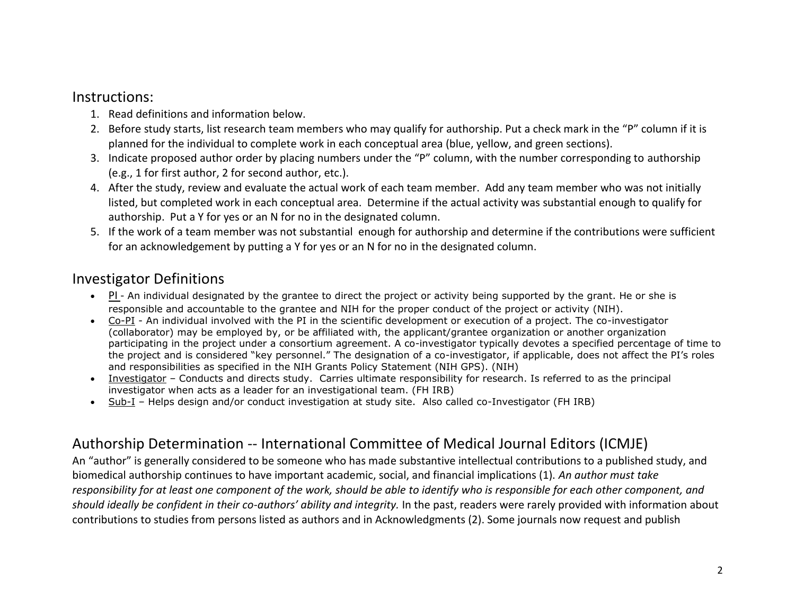## Instructions:

- 1. Read definitions and information below.
- 2. Before study starts, list research team members who may qualify for authorship. Put a check mark in the "P" column if it is planned for the individual to complete work in each conceptual area (blue, yellow, and green sections).
- 3. Indicate proposed author order by placing numbers under the "P" column, with the number corresponding to authorship (e.g., 1 for first author, 2 for second author, etc.).
- 4. After the study, review and evaluate the actual work of each team member. Add any team member who was not initially listed, but completed work in each conceptual area. Determine if the actual activity was substantial enough to qualify for authorship. Put a Y for yes or an N for no in the designated column.
- 5. If the work of a team member was not substantial enough for authorship and determine if the contributions were sufficient for an acknowledgement by putting a Y for yes or an N for no in the designated column.

## Investigator Definitions

- PI An individual designated by the grantee to direct the project or activity being supported by the grant. He or she is responsible and accountable to the grantee and NIH for the proper conduct of the project or activity (NIH).
- Co-PI An individual involved with the PI in the scientific development or execution of a project. The co-investigator (collaborator) may be employed by, or be affiliated with, the applicant/grantee organization or another organization participating in the project under a consortium agreement. A co-investigator typically devotes a specified percentage of time to the project and is considered "key personnel." The designation of a co-investigator, if applicable, does not affect the PI's roles and responsibilities as specified in the NIH Grants Policy Statement (NIH GPS). (NIH)
- Investigator Conducts and directs study. Carries ultimate responsibility for research. Is referred to as the principal investigator when acts as a leader for an investigational team. (FH IRB)
- Sub-I Helps design and/or conduct investigation at study site. Also called co-Investigator (FH IRB)

## Authorship Determination -- International Committee of Medical Journal Editors (ICMJE)

An "author" is generally considered to be someone who has made substantive intellectual contributions to a published study, and biomedical authorship continues to have important academic, social, and financial implications (1). *An author must take responsibility for at least one component of the work, should be able to identify who is responsible for each other component, and should ideally be confident in their co-authors' ability and integrity.* In the past, readers were rarely provided with information about contributions to studies from persons listed as authors and in Acknowledgments (2). Some journals now request and publish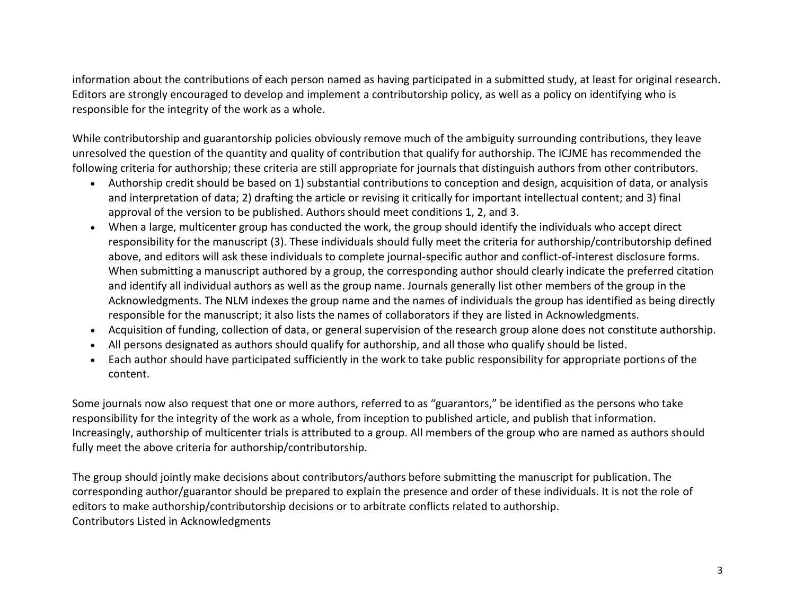information about the contributions of each person named as having participated in a submitted study, at least for original research. Editors are strongly encouraged to develop and implement a contributorship policy, as well as a policy on identifying who is responsible for the integrity of the work as a whole.

While contributorship and guarantorship policies obviously remove much of the ambiguity surrounding contributions, they leave unresolved the question of the quantity and quality of contribution that qualify for authorship. The ICJME has recommended the following criteria for authorship; these criteria are still appropriate for journals that distinguish authors from other contributors.

- Authorship credit should be based on 1) substantial contributions to conception and design, acquisition of data, or analysis and interpretation of data; 2) drafting the article or revising it critically for important intellectual content; and 3) final approval of the version to be published. Authors should meet conditions 1, 2, and 3.
- When a large, multicenter group has conducted the work, the group should identify the individuals who accept direct responsibility for the manuscript (3). These individuals should fully meet the criteria for authorship/contributorship defined above, and editors will ask these individuals to complete journal-specific author and conflict-of-interest disclosure forms. When submitting a manuscript authored by a group, the corresponding author should clearly indicate the preferred citation and identify all individual authors as well as the group name. Journals generally list other members of the group in the Acknowledgments. The NLM indexes the group name and the names of individuals the group has identified as being directly responsible for the manuscript; it also lists the names of collaborators if they are listed in Acknowledgments.
- Acquisition of funding, collection of data, or general supervision of the research group alone does not constitute authorship.
- All persons designated as authors should qualify for authorship, and all those who qualify should be listed.
- Each author should have participated sufficiently in the work to take public responsibility for appropriate portions of the content.

Some journals now also request that one or more authors, referred to as "guarantors," be identified as the persons who take responsibility for the integrity of the work as a whole, from inception to published article, and publish that information. Increasingly, authorship of multicenter trials is attributed to a group. All members of the group who are named as authors should fully meet the above criteria for authorship/contributorship.

The group should jointly make decisions about contributors/authors before submitting the manuscript for publication. The corresponding author/guarantor should be prepared to explain the presence and order of these individuals. It is not the role of editors to make authorship/contributorship decisions or to arbitrate conflicts related to authorship. Contributors Listed in Acknowledgments